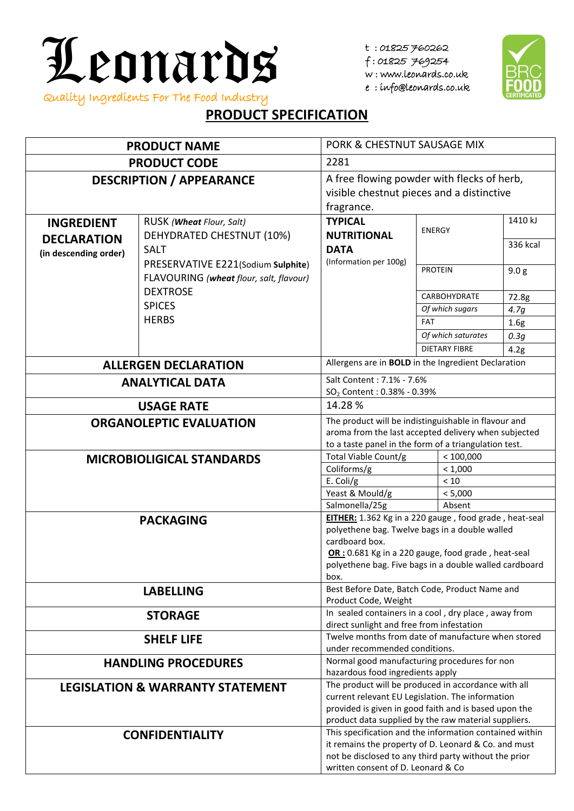

t : 01825 760262

f : 01825 769254

w : www.leonards.co.uk

e : info@leonards.co.uk



## **PRODUCT SPECIFICATION**

| <b>PRODUCT NAME</b>                                                                                                                                                                                                                                                    |                                                               | PORK & CHESTNUT SAUSAGE MIX                                                                                                                                                                                              |                                                                                  |                      |                  |  |
|------------------------------------------------------------------------------------------------------------------------------------------------------------------------------------------------------------------------------------------------------------------------|---------------------------------------------------------------|--------------------------------------------------------------------------------------------------------------------------------------------------------------------------------------------------------------------------|----------------------------------------------------------------------------------|----------------------|------------------|--|
| <b>PRODUCT CODE</b>                                                                                                                                                                                                                                                    |                                                               | 2281                                                                                                                                                                                                                     |                                                                                  |                      |                  |  |
| <b>DESCRIPTION / APPEARANCE</b>                                                                                                                                                                                                                                        |                                                               | A free flowing powder with flecks of herb,<br>visible chestnut pieces and a distinctive<br>fragrance.                                                                                                                    |                                                                                  |                      |                  |  |
| <b>INGREDIENT</b><br><b>DECLARATION</b>                                                                                                                                                                                                                                | RUSK ( <b>Wheat</b> Flour, Salt)<br>DEHYDRATED CHESTNUT (10%) | <b>TYPICAL</b><br><b>NUTRITIONAL</b>                                                                                                                                                                                     | <b>ENERGY</b>                                                                    |                      | 1410 kJ          |  |
| (in descending order)                                                                                                                                                                                                                                                  | <b>SALT</b><br>PRESERVATIVE E221(Sodium Sulphite)             | <b>DATA</b><br>(Information per 100g)                                                                                                                                                                                    |                                                                                  |                      | 336 kcal         |  |
|                                                                                                                                                                                                                                                                        | FLAVOURING (wheat flour, salt, flavour)<br><b>DEXTROSE</b>    |                                                                                                                                                                                                                          | <b>PROTEIN</b>                                                                   |                      | 9.0 <sub>g</sub> |  |
|                                                                                                                                                                                                                                                                        |                                                               |                                                                                                                                                                                                                          |                                                                                  | <b>CARBOHYDRATE</b>  | 72.8g            |  |
|                                                                                                                                                                                                                                                                        | <b>SPICES</b>                                                 |                                                                                                                                                                                                                          |                                                                                  | Of which sugars      | 4.7g             |  |
|                                                                                                                                                                                                                                                                        | <b>HERBS</b>                                                  |                                                                                                                                                                                                                          | <b>FAT</b>                                                                       |                      | 1.6 <sub>g</sub> |  |
|                                                                                                                                                                                                                                                                        |                                                               |                                                                                                                                                                                                                          |                                                                                  | Of which saturates   | 0.3g             |  |
|                                                                                                                                                                                                                                                                        |                                                               |                                                                                                                                                                                                                          |                                                                                  | <b>DIETARY FIBRE</b> | 4.2g             |  |
|                                                                                                                                                                                                                                                                        | <b>ALLERGEN DECLARATION</b>                                   | Allergens are in <b>BOLD</b> in the Ingredient Declaration                                                                                                                                                               |                                                                                  |                      |                  |  |
|                                                                                                                                                                                                                                                                        | <b>ANALYTICAL DATA</b>                                        | Salt Content: 7.1% - 7.6%<br>SO <sub>2</sub> Content: 0.38% - 0.39%                                                                                                                                                      |                                                                                  |                      |                  |  |
|                                                                                                                                                                                                                                                                        | <b>USAGE RATE</b>                                             | 14.28%                                                                                                                                                                                                                   |                                                                                  |                      |                  |  |
|                                                                                                                                                                                                                                                                        | <b>ORGANOLEPTIC EVALUATION</b>                                | The product will be indistinguishable in flavour and<br>aroma from the last accepted delivery when subjected<br>to a taste panel in the form of a triangulation test.                                                    |                                                                                  |                      |                  |  |
|                                                                                                                                                                                                                                                                        | <b>MICROBIOLIGICAL STANDARDS</b>                              | Total Viable Count/g<br>< 100,000                                                                                                                                                                                        |                                                                                  |                      |                  |  |
|                                                                                                                                                                                                                                                                        |                                                               | Coliforms/g<br>< 1,000                                                                                                                                                                                                   |                                                                                  |                      |                  |  |
|                                                                                                                                                                                                                                                                        |                                                               | E. Coli/g                                                                                                                                                                                                                | $<10$                                                                            |                      |                  |  |
|                                                                                                                                                                                                                                                                        |                                                               | Yeast & Mould/g                                                                                                                                                                                                          | < 5,000                                                                          |                      |                  |  |
|                                                                                                                                                                                                                                                                        |                                                               | Salmonella/25g<br>Absent                                                                                                                                                                                                 |                                                                                  |                      |                  |  |
| EITHER: 1.362 Kg in a 220 gauge, food grade, heat-seal<br><b>PACKAGING</b><br>polyethene bag. Twelve bags in a double walled<br>cardboard box.<br>OR: 0.681 Kg in a 220 gauge, food grade, heat-seal<br>polyethene bag. Five bags in a double walled cardboard<br>box. |                                                               |                                                                                                                                                                                                                          |                                                                                  |                      |                  |  |
| <b>LABELLING</b>                                                                                                                                                                                                                                                       |                                                               | Best Before Date, Batch Code, Product Name and<br>Product Code, Weight                                                                                                                                                   |                                                                                  |                      |                  |  |
|                                                                                                                                                                                                                                                                        | <b>STORAGE</b>                                                | In sealed containers in a cool, dry place, away from<br>direct sunlight and free from infestation                                                                                                                        |                                                                                  |                      |                  |  |
| <b>SHELF LIFE</b>                                                                                                                                                                                                                                                      |                                                               |                                                                                                                                                                                                                          | Twelve months from date of manufacture when stored                               |                      |                  |  |
|                                                                                                                                                                                                                                                                        |                                                               | under recommended conditions.                                                                                                                                                                                            |                                                                                  |                      |                  |  |
|                                                                                                                                                                                                                                                                        | <b>HANDLING PROCEDURES</b>                                    |                                                                                                                                                                                                                          | Normal good manufacturing procedures for non<br>hazardous food ingredients apply |                      |                  |  |
|                                                                                                                                                                                                                                                                        | <b>LEGISLATION &amp; WARRANTY STATEMENT</b>                   | The product will be produced in accordance with all<br>current relevant EU Legislation. The information<br>provided is given in good faith and is based upon the<br>product data supplied by the raw material suppliers. |                                                                                  |                      |                  |  |
|                                                                                                                                                                                                                                                                        | <b>CONFIDENTIALITY</b>                                        | This specification and the information contained within<br>it remains the property of D. Leonard & Co. and must<br>not be disclosed to any third party without the prior<br>written consent of D. Leonard & Co           |                                                                                  |                      |                  |  |